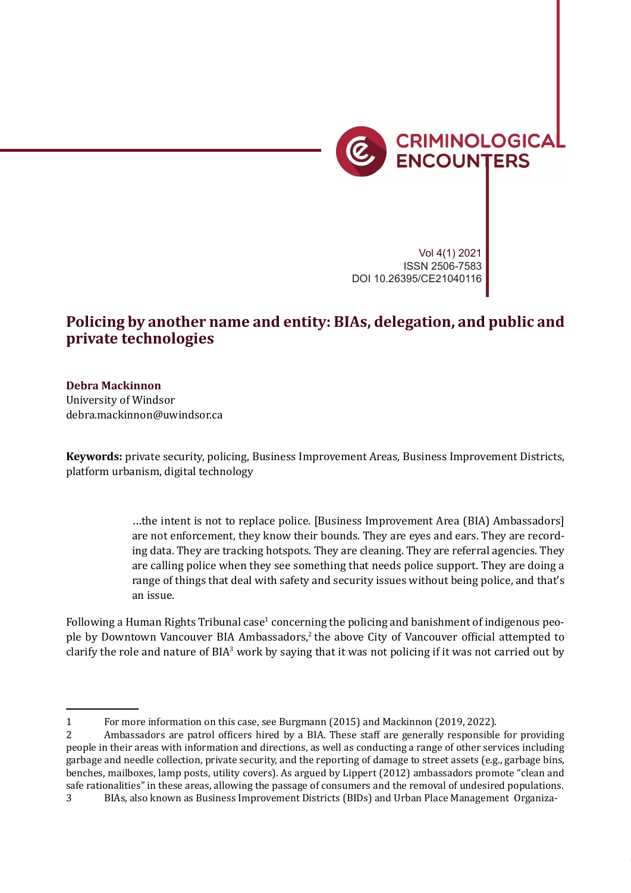

Vol 4(1) 2021 ISSN 2506-7583 DOI 10.26395/CE21040116

## **Policing by another name and entity: BIAs, delegation, and public and private technologies**

## **Debra Mackinnon**

University of Windsor debra.mackinnon@uwindsor.ca

**Keywords:** private security, policing, Business Improvement Areas, Business Improvement Districts, platform urbanism, digital technology

> …the intent is not to replace police. [Business Improvement Area (BIA) Ambassadors] are not enforcement, they know their bounds. They are eyes and ears. They are recording data. They are tracking hotspots. They are cleaning. They are referral agencies. They are calling police when they see something that needs police support. They are doing a range of things that deal with safety and security issues without being police, and that's an issue.

Following a Human Rights Tribunal case<sup>1</sup> concerning the policing and banishment of indigenous people by Downtown Vancouver BIA Ambassadors,<sup>2</sup> the above City of Vancouver official attempted to clarify the role and nature of BIA<sup>3</sup> work by saying that it was not policing if it was not carried out by

<sup>1</sup> For more information on this case, see Burgmann (2015) and Mackinnon (2019, 2022).

<sup>2</sup> Ambassadors are patrol officers hired by a BIA. These staff are generally responsible for providing people in their areas with information and directions, as well as conducting a range of other services including garbage and needle collection, private security, and the reporting of damage to street assets (e.g., garbage bins, benches, mailboxes, lamp posts, utility covers). As argued by Lippert (2012) ambassadors promote "clean and safe rationalities" in these areas, allowing the passage of consumers and the removal of undesired populations. 3 BIAs, also known as Business Improvement Districts (BIDs) and Urban Place Management Organiza-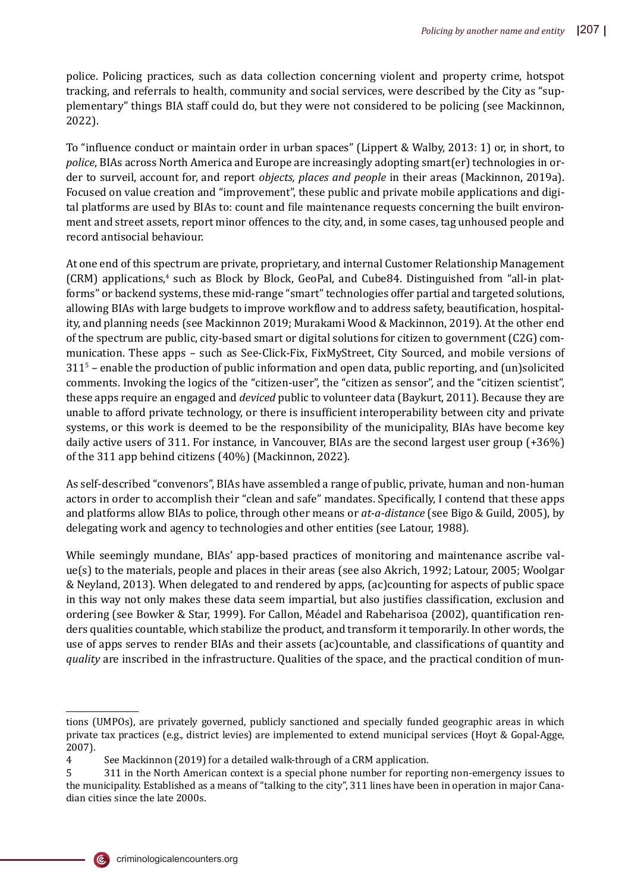police. Policing practices, such as data collection concerning violent and property crime, hotspot tracking, and referrals to health, community and social services, were described by the City as "supplementary" things BIA staff could do, but they were not considered to be policing (see Mackinnon, 2022).

To "in�luence conduct or maintain order in urban spaces" (Lippert & Walby, 2013: 1) or, in short, to *police*, BIAs across North America and Europe are increasingly adopting smart(er) technologies in order to surveil, account for, and report *objects, places and people* in their areas (Mackinnon, 2019a). Focused on value creation and "improvement", these public and private mobile applications and digital platforms are used by BIAs to: count and file maintenance requests concerning the built environment and street assets, report minor offences to the city, and, in some cases, tag unhoused people and record antisocial behaviour.

At one end of this spectrum are private, proprietary, and internal Customer Relationship Management (CRM) applications,<sup>4</sup> such as Block by Block, GeoPal, and Cube84. Distinguished from "all-in platforms" or backend systems, these mid-range "smart" technologies offer partial and targeted solutions, allowing BIAs with large budgets to improve workflow and to address safety, beautification, hospitality, and planning needs (see Mackinnon 2019; Murakami Wood & Mackinnon, 2019). At the other end of the spectrum are public, city-based smart or digital solutions for citizen to government (C2G) communication. These apps – such as See-Click-Fix, FixMyStreet, City Sourced, and mobile versions of  $311<sup>5</sup>$  – enable the production of public information and open data, public reporting, and (un)solicited comments. Invoking the logics of the "citizen-user", the "citizen as sensor", and the "citizen scientist", these apps require an engaged and *deviced* public to volunteer data (Baykurt, 2011). Because they are unable to afford private technology, or there is insuf�icient interoperability between city and private systems, or this work is deemed to be the responsibility of the municipality, BIAs have become key daily active users of 311. For instance, in Vancouver, BIAs are the second largest user group (+36%) of the 311 app behind citizens (40%) (Mackinnon, 2022).

As self-described "convenors", BIAs have assembled a range of public, private, human and non-human actors in order to accomplish their "clean and safe" mandates. Speci�ically, I contend that these apps and platforms allow BIAs to police, through other means or *at-a-distance* (see Bigo & Guild, 2005), by delegating work and agency to technologies and other entities (see Latour, 1988).

While seemingly mundane, BIAs' app-based practices of monitoring and maintenance ascribe value(s) to the materials, people and places in their areas (see also Akrich, 1992; Latour, 2005; Woolgar & Neyland, 2013). When delegated to and rendered by apps, (ac)counting for aspects of public space in this way not only makes these data seem impartial, but also justifies classification, exclusion and ordering (see Bowker & Star, 1999). For Callon, Méadel and Rabeharisoa (2002), quantification renders qualities countable, which stabilize the product, and transform it temporarily. In other words, the use of apps serves to render BIAs and their assets (ac)countable, and classi�ications of quantity and *quality* are inscribed in the infrastructure. Qualities of the space, and the practical condition of mun-



(@

tions (UMPOs), are privately governed, publicly sanctioned and specially funded geographic areas in which private tax practices (e.g., district levies) are implemented to extend municipal services (Hoyt & Gopal-Agge, 2007).

<sup>4</sup> See Mackinnon (2019) for a detailed walk-through of a CRM application.

<sup>5 311</sup> in the North American context is a special phone number for reporting non-emergency issues to the municipality. Established as a means of "talking to the city", 311 lines have been in operation in major Canadian cities since the late 2000s.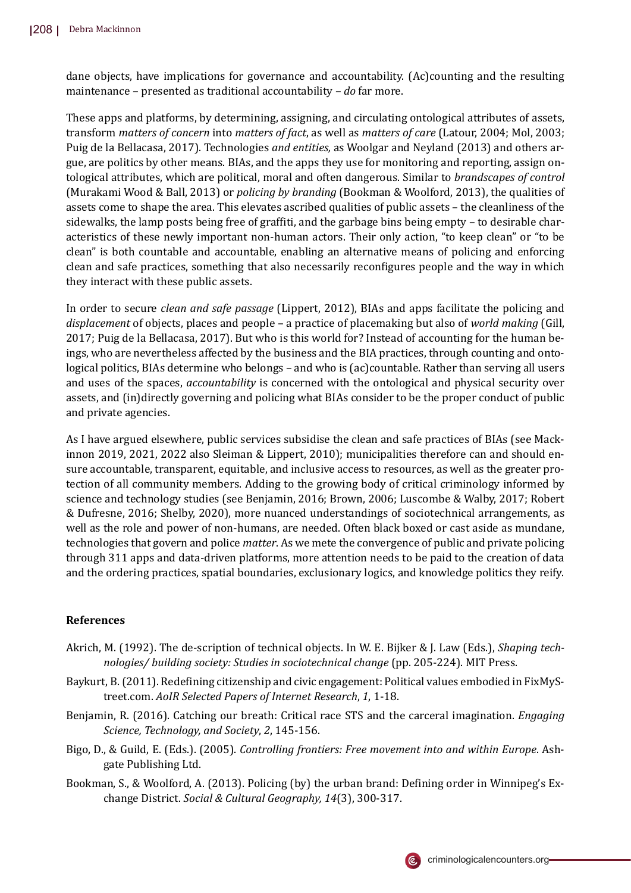dane objects, have implications for governance and accountability. (Ac)counting and the resulting maintenance – presented as traditional accountability – *do* far more.

These apps and platforms, by determining, assigning, and circulating ontological attributes of assets, transform *matters of concern* into *matters of fact*, as well as *matters of care* (Latour, 2004; Mol, 2003; Puig de la Bellacasa, 2017). Technologies *and entities,* as Woolgar and Neyland (2013) and others argue, are politics by other means. BIAs, and the apps they use for monitoring and reporting, assign ontological attributes, which are political, moral and often dangerous. Similar to *brandscapes of control* (Murakami Wood & Ball, 2013) or *policing by branding* (Bookman & Woolford, 2013), the qualities of assets come to shape the area. This elevates ascribed qualities of public assets – the cleanliness of the sidewalks, the lamp posts being free of graffiti, and the garbage bins being empty – to desirable characteristics of these newly important non-human actors. Their only action, "to keep clean" or "to be clean" is both countable and accountable, enabling an alternative means of policing and enforcing clean and safe practices, something that also necessarily recon�igures people and the way in which they interact with these public assets.

In order to secure *clean and safe passage* (Lippert, 2012), BIAs and apps facilitate the policing and *displacement* of objects, places and people – a practice of placemaking but also of *world making* (Gill, 2017; Puig de la Bellacasa, 2017). But who is this world for? Instead of accounting for the human beings, who are nevertheless affected by the business and the BIA practices, through counting and ontological politics, BIAs determine who belongs – and who is (ac)countable. Rather than serving all users and uses of the spaces, *accountability* is concerned with the ontological and physical security over assets, and (in)directly governing and policing what BIAs consider to be the proper conduct of public and private agencies.

As I have argued elsewhere, public services subsidise the clean and safe practices of BIAs (see Mackinnon 2019, 2021, 2022 also Sleiman & Lippert, 2010); municipalities therefore can and should ensure accountable, transparent, equitable, and inclusive access to resources, as well as the greater protection of all community members. Adding to the growing body of critical criminology informed by science and technology studies (see Benjamin, 2016; Brown, 2006; Luscombe & Walby, 2017; Robert & Dufresne, 2016; Shelby, 2020), more nuanced understandings of sociotechnical arrangements, as well as the role and power of non-humans, are needed. Often black boxed or cast aside as mundane, technologies that govern and police *matter*. As we mete the convergence of public and private policing through 311 apps and data-driven platforms, more attention needs to be paid to the creation of data and the ordering practices, spatial boundaries, exclusionary logics, and knowledge politics they reify.

## **References**

- Akrich, M. (1992). The de-scription of technical objects. In W. E. Bijker & J. Law (Eds.), *Shaping technologies/ building society: Studies in sociotechnical change* (pp. 205-224). MIT Press.
- Baykurt, B. (2011). Redefining citizenship and civic engagement: Political values embodied in FixMyStreet.com. *AoIR Selected Papers of Internet Research*, *1*, 1-18.
- Benjamin, R. (2016). Catching our breath: Critical race STS and the carceral imagination. *Engaging Science, Technology, and Society*, *2*, 145-156.
- Bigo, D., & Guild, E. (Eds.). (2005). *Controlling frontiers: Free movement into and within Europe*. Ashgate Publishing Ltd.
- Bookman, S., & Woolford, A. (2013). Policing (by) the urban brand: Defining order in Winnipeg's Exchange District. *Social & Cultural Geography, 14*(3), 300-317.

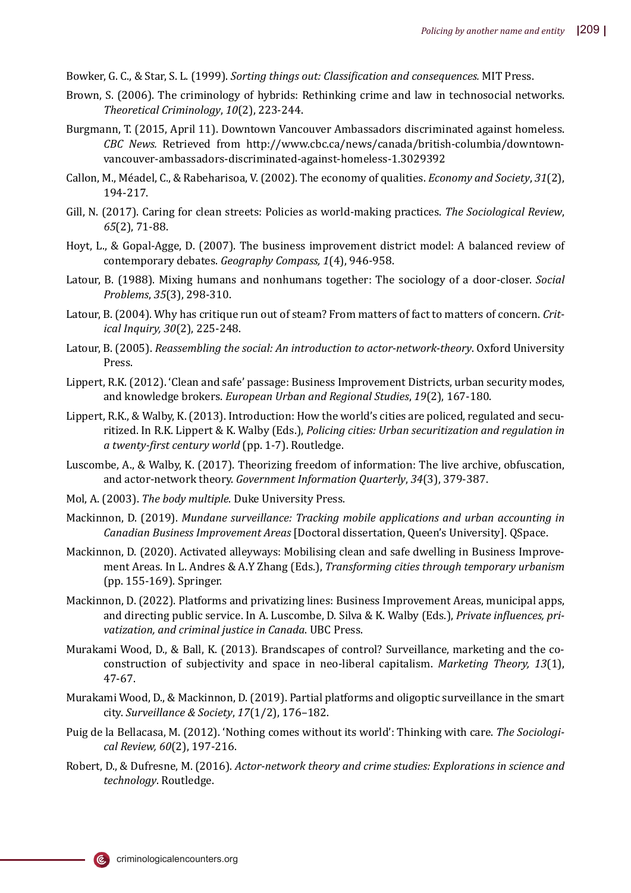- Bowker, G. C., & Star, S. L. (1999). *Sorting things out: Classi�ication and consequences.* MIT Press.
- Brown, S. (2006). The criminology of hybrids: Rethinking crime and law in technosocial networks. *Theoretical Criminology*, *10*(2), 223-244.
- Burgmann, T. (2015, April 11). Downtown Vancouver Ambassadors discriminated against homeless. *CBC News.* Retrieved from http://www.cbc.ca/news/canada/british-columbia/downtownvancouver-ambassadors-discriminated-against-homeless-1.3029392
- Callon, M., Méadel, C., & Rabeharisoa, V. (2002). The economy of qualities. *Economy and Society*, *31*(2), 194-217.
- Gill, N. (2017). Caring for clean streets: Policies as world-making practices. *The Sociological Review*, *65*(2), 71-88.
- Hoyt, L., & Gopal-Agge, D. (2007). The business improvement district model: A balanced review of contemporary debates. *Geography Compass, 1*(4), 946-958.
- Latour, B. (1988). Mixing humans and nonhumans together: The sociology of a door-closer. *Social Problems*, *35*(3), 298-310.
- Latour, B. (2004). Why has critique run out of steam? From matters of fact to matters of concern. *Critical Inquiry, 30*(2), 225-248.
- Latour, B. (2005). *Reassembling the social: An introduction to actor-network-theory*. Oxford University Press.
- Lippert, R.K. (2012). 'Clean and safe' passage: Business Improvement Districts, urban security modes, and knowledge brokers. *European Urban and Regional Studies*, *19*(2), 167-180.
- Lippert, R.K., & Walby, K. (2013). Introduction: How the world's cities are policed, regulated and securitized. In R.K. Lippert & K. Walby (Eds.), *Policing cities: Urban securitization and regulation in a twenty-�irst century world* (pp. 1-7). Routledge.
- Luscombe, A., & Walby, K. (2017). Theorizing freedom of information: The live archive, obfuscation, and actor-network theory. *Government Information Quarterly*, *34*(3), 379-387.
- Mol, A. (2003). *The body multiple*. Duke University Press.
- Mackinnon, D. (2019). *Mundane surveillance: Tracking mobile applications and urban accounting in Canadian Business Improvement Areas* [Doctoral dissertation, Queen's University]. QSpace.
- Mackinnon, D. (2020). Activated alleyways: Mobilising clean and safe dwelling in Business Improvement Areas. In L. Andres & A.Y Zhang (Eds.), *Transforming cities through temporary urbanism* (pp. 155-169). Springer.
- Mackinnon, D. (2022). Platforms and privatizing lines: Business Improvement Areas, municipal apps, and directing public service. In A. Luscombe, D. Silva & K. Walby (Eds.), *Private in�luences, privatization, and criminal justice in Canada*. UBC Press.
- Murakami Wood, D., & Ball, K. (2013). Brandscapes of control? Surveillance, marketing and the coconstruction of subjectivity and space in neo-liberal capitalism. *Marketing Theory, 13*(1), 47-67.
- Murakami Wood, D., & Mackinnon, D. (2019). Partial platforms and oligoptic surveillance in the smart city. *Surveillance & Society*, *17*(1/2), 176–182.
- Puig de la Bellacasa, M. (2012). 'Nothing comes without its world': Thinking with care. *The Sociological Review, 60*(2), 197-216.
- Robert, D., & Dufresne, M. (2016). *Actor-network theory and crime studies: Explorations in science and technology*. Routledge.

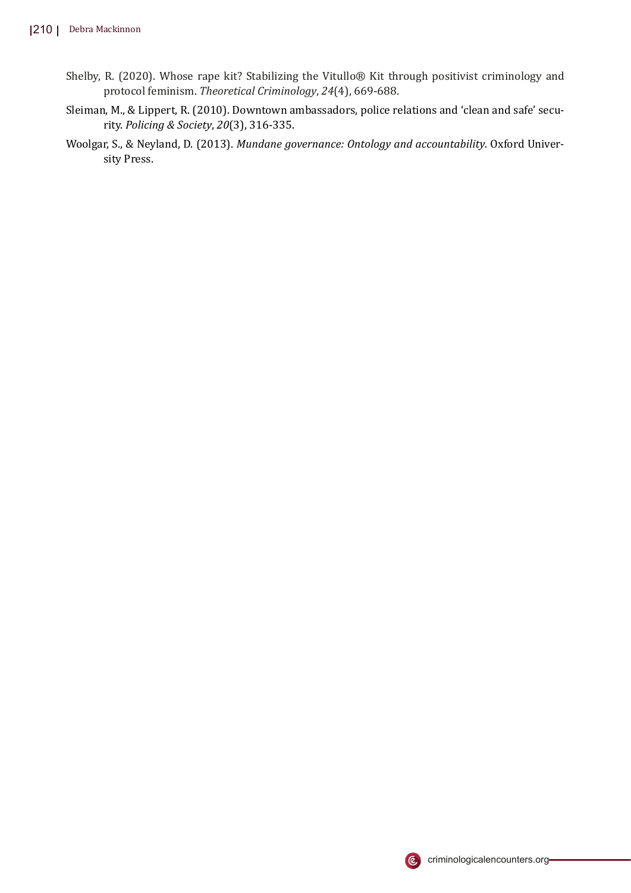- Shelby, R. (2020). Whose rape kit? Stabilizing the Vitullo® Kit through positivist criminology and protocol feminism. *Theoretical Criminology*, *24*(4), 669-688.
- Sleiman, M., & Lippert, R. (2010). Downtown ambassadors, police relations and 'clean and safe' security. *Policing & Society*, *20*(3), 316-335.
- Woolgar, S., & Neyland, D. (2013). *Mundane governance: Ontology and accountability*. Oxford University Press.